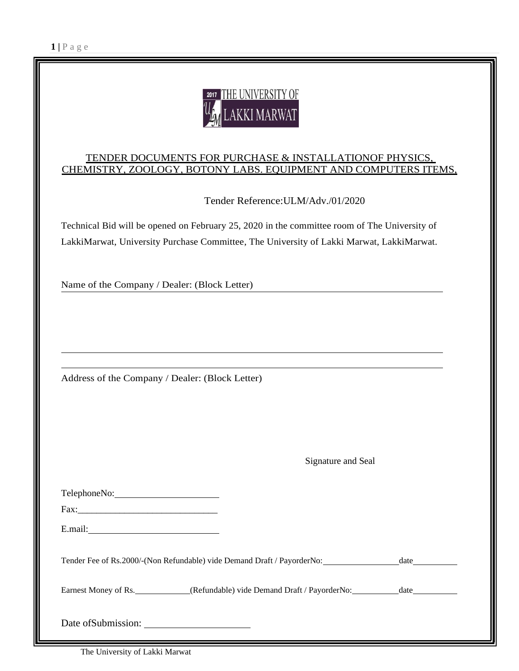

#### TENDER DOCUMENTS FOR PURCHASE & INSTALLATIONOF PHYSICS, CHEMISTRY, ZOOLOGY, BOTONY LABS. EQUIPMENT AND COMPUTERS ITEMS,

Tender Reference:ULM/Adv./01/2020

Technical Bid will be opened on February 25, 2020 in the committee room of The University of LakkiMarwat, University Purchase Committee, The University of Lakki Marwat, LakkiMarwat.

Name of the Company / Dealer: (Block Letter)

Address of the Company / Dealer: (Block Letter)

Signature and Seal

| TelephoneNo: 2000                                                       |      |
|-------------------------------------------------------------------------|------|
| Fax:                                                                    |      |
| E.mail:                                                                 |      |
| Tender Fee of Rs.2000/-(Non Refundable) vide Demand Draft / PayorderNo: |      |
| Earnest Money of Rs. (Refundable) vide Demand Draft / PayorderNo:       | date |
|                                                                         |      |

The University of Lakki Marwat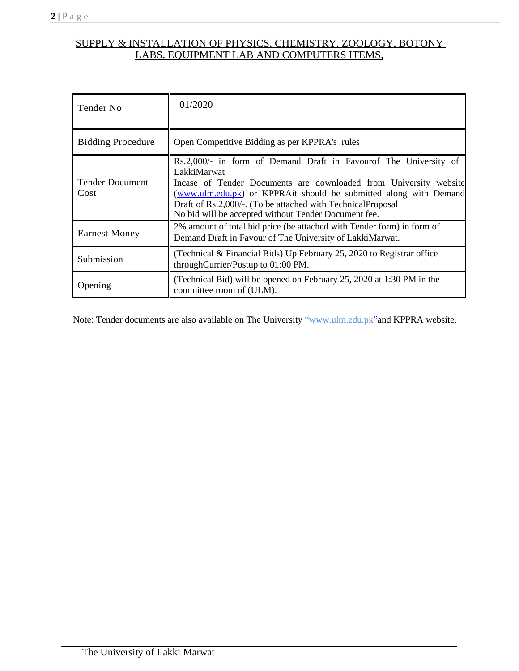# SUPPLY & INSTALLATION OF PHYSICS, CHEMISTRY, ZOOLOGY, BOTONY LABS. EQUIPMENT LAB AND COMPUTERS ITEMS,

| Tender No                      | 01/2020                                                                                                                                                                                                                                                                                                                                          |
|--------------------------------|--------------------------------------------------------------------------------------------------------------------------------------------------------------------------------------------------------------------------------------------------------------------------------------------------------------------------------------------------|
| <b>Bidding Procedure</b>       | Open Competitive Bidding as per KPPRA's rules                                                                                                                                                                                                                                                                                                    |
| <b>Tender Document</b><br>Cost | Rs.2,000/- in form of Demand Draft in Favourof The University of<br>LakkiMarwat<br>Incase of Tender Documents are downloaded from University website<br>(www.ulm.edu.pk) or KPPRAit should be submitted along with Demand<br>Draft of Rs.2,000/-. (To be attached with TechnicalProposal<br>No bid will be accepted without Tender Document fee. |
| <b>Earnest Money</b>           | 2% amount of total bid price (be attached with Tender form) in form of<br>Demand Draft in Favour of The University of LakkiMarwat.                                                                                                                                                                                                               |
| Submission                     | (Technical & Financial Bids) Up February 25, 2020 to Registrar office<br>throughCurrier/Postup to 01:00 PM.                                                                                                                                                                                                                                      |
| Opening                        | (Technical Bid) will be opened on February 25, 2020 at 1:30 PM in the<br>committee room of (ULM).                                                                                                                                                                                                                                                |

Note: Tender documents are also available on The University ["www.ulm.edu.pk"](http://www.ulm.edu.pk/) and KPPRA website.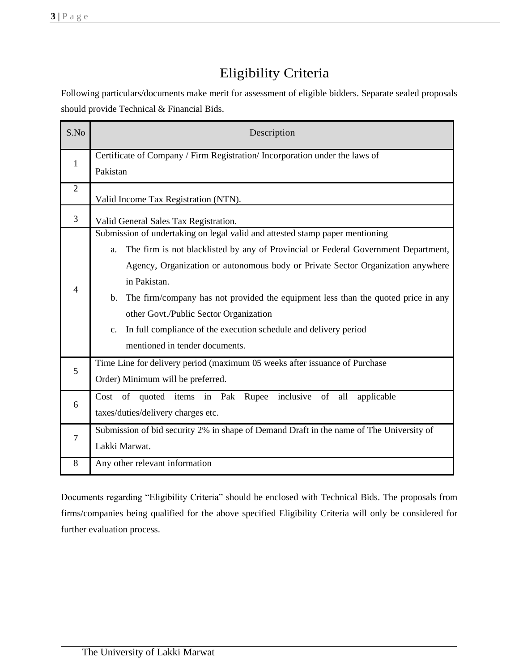# Eligibility Criteria

Following particulars/documents make merit for assessment of eligible bidders. Separate sealed proposals should provide Technical & Financial Bids.

| S.No           | Description                                                                                                                                                                                                                                                                                                                                                                                                                                                                                                                  |  |  |  |  |
|----------------|------------------------------------------------------------------------------------------------------------------------------------------------------------------------------------------------------------------------------------------------------------------------------------------------------------------------------------------------------------------------------------------------------------------------------------------------------------------------------------------------------------------------------|--|--|--|--|
| 1              | Certificate of Company / Firm Registration/ Incorporation under the laws of<br>Pakistan                                                                                                                                                                                                                                                                                                                                                                                                                                      |  |  |  |  |
| $\overline{2}$ | Valid Income Tax Registration (NTN).                                                                                                                                                                                                                                                                                                                                                                                                                                                                                         |  |  |  |  |
| $\overline{3}$ | Valid General Sales Tax Registration.                                                                                                                                                                                                                                                                                                                                                                                                                                                                                        |  |  |  |  |
| $\overline{4}$ | Submission of undertaking on legal valid and attested stamp paper mentioning<br>The firm is not blacklisted by any of Provincial or Federal Government Department,<br>a.<br>Agency, Organization or autonomous body or Private Sector Organization anywhere<br>in Pakistan.<br>The firm/company has not provided the equipment less than the quoted price in any<br>b.<br>other Govt./Public Sector Organization<br>In full compliance of the execution schedule and delivery period<br>c.<br>mentioned in tender documents. |  |  |  |  |
| 5              | Time Line for delivery period (maximum 05 weeks after issuance of Purchase<br>Order) Minimum will be preferred.                                                                                                                                                                                                                                                                                                                                                                                                              |  |  |  |  |
| 6              | Cost of quoted items in Pak Rupee<br>inclusive of<br>all<br>applicable<br>taxes/duties/delivery charges etc.                                                                                                                                                                                                                                                                                                                                                                                                                 |  |  |  |  |
| $\overline{7}$ | Submission of bid security 2% in shape of Demand Draft in the name of The University of<br>Lakki Marwat.                                                                                                                                                                                                                                                                                                                                                                                                                     |  |  |  |  |
| 8              | Any other relevant information                                                                                                                                                                                                                                                                                                                                                                                                                                                                                               |  |  |  |  |

Documents regarding "Eligibility Criteria" should be enclosed with Technical Bids. The proposals from firms/companies being qualified for the above specified Eligibility Criteria will only be considered for further evaluation process.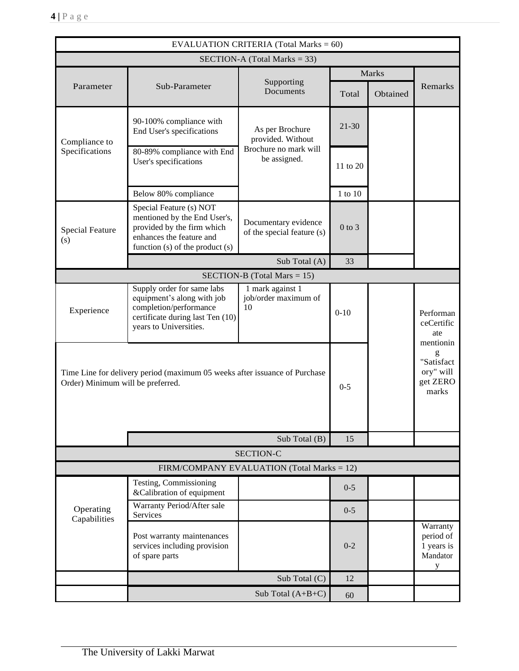| <b>EVALUATION CRITERIA (Total Marks = 60)</b>                                                                   |                                                                                                                                                      |                                                    |               |          |                                                                |  |  |  |
|-----------------------------------------------------------------------------------------------------------------|------------------------------------------------------------------------------------------------------------------------------------------------------|----------------------------------------------------|---------------|----------|----------------------------------------------------------------|--|--|--|
|                                                                                                                 | SECTION-A (Total Marks = 33)                                                                                                                         |                                                    |               |          |                                                                |  |  |  |
|                                                                                                                 |                                                                                                                                                      |                                                    | Marks         |          |                                                                |  |  |  |
| Parameter                                                                                                       | Sub-Parameter                                                                                                                                        | Supporting<br>Documents                            | Total         | Obtained | Remarks                                                        |  |  |  |
| Compliance to                                                                                                   | 90-100% compliance with<br>End User's specifications                                                                                                 | As per Brochure<br>provided. Without               | $21 - 30$     |          |                                                                |  |  |  |
| Specifications                                                                                                  | 80-89% compliance with End<br>User's specifications                                                                                                  | Brochure no mark will<br>be assigned.              | 11 to 20      |          |                                                                |  |  |  |
|                                                                                                                 | Below 80% compliance                                                                                                                                 |                                                    | $1$ to $10\,$ |          |                                                                |  |  |  |
| <b>Special Feature</b><br>(s)                                                                                   | Special Feature (s) NOT<br>mentioned by the End User's,<br>provided by the firm which<br>enhances the feature and<br>function (s) of the product (s) | Documentary evidence<br>of the special feature (s) | $0$ to $3$    |          |                                                                |  |  |  |
|                                                                                                                 |                                                                                                                                                      | Sub Total (A)                                      | 33            |          |                                                                |  |  |  |
|                                                                                                                 |                                                                                                                                                      | SECTION-B (Total Mars $= 15$ )                     |               |          |                                                                |  |  |  |
| Experience                                                                                                      | Supply order for same labs<br>equipment's along with job<br>completion/performance<br>certificate during last Ten (10)<br>years to Universities.     | 1 mark against 1<br>job/order maximum of<br>10     | $0-10$        |          | Performan<br>ceCertific<br>ate                                 |  |  |  |
| Time Line for delivery period (maximum 05 weeks after issuance of Purchase<br>Order) Minimum will be preferred. |                                                                                                                                                      |                                                    | $0 - 5$       |          | mentionin<br>g<br>"Satisfact<br>ory" will<br>get ZERO<br>marks |  |  |  |
|                                                                                                                 |                                                                                                                                                      | Sub Total $(B)$                                    | 15            |          |                                                                |  |  |  |
|                                                                                                                 |                                                                                                                                                      | <b>SECTION-C</b>                                   |               |          |                                                                |  |  |  |
|                                                                                                                 |                                                                                                                                                      | FIRM/COMPANY EVALUATION (Total Marks = 12)         |               |          |                                                                |  |  |  |
|                                                                                                                 | Testing, Commissioning<br>&Calibration of equipment                                                                                                  |                                                    | $0 - 5$       |          |                                                                |  |  |  |
| Operating<br>Capabilities                                                                                       | Warranty Period/After sale<br>Services                                                                                                               |                                                    | $0 - 5$       |          |                                                                |  |  |  |
|                                                                                                                 | Post warranty maintenances<br>services including provision<br>of spare parts                                                                         |                                                    | $0 - 2$       |          | Warranty<br>period of<br>1 years is<br>Mandator<br>У           |  |  |  |
|                                                                                                                 |                                                                                                                                                      | Sub Total (C)                                      | 12            |          |                                                                |  |  |  |
|                                                                                                                 |                                                                                                                                                      | Sub Total $(A+B+C)$                                | 60            |          |                                                                |  |  |  |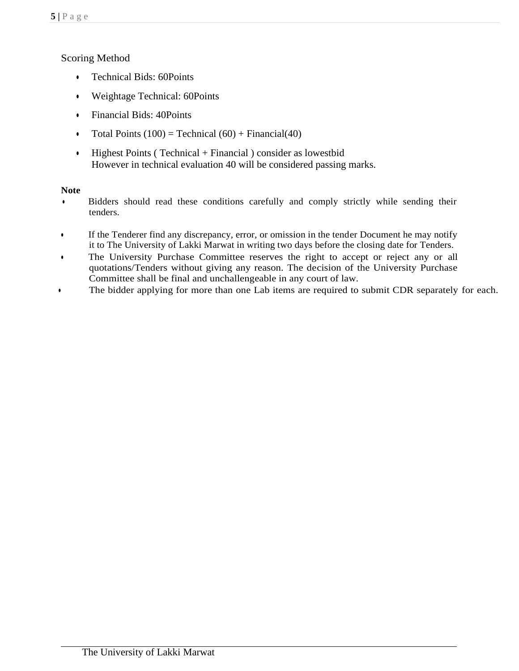# Scoring Method

- Technical Bids: 60Points
- Weightage Technical: 60Points
- Financial Bids: 40Points
- Total Points  $(100)$  = Technical  $(60)$  + Financial $(40)$
- $\bullet$  Highest Points (Technical + Financial) consider as lowestbid However in technical evaluation 40 will be considered passing marks.

# **Note**

- Bidders should read these conditions carefully and comply strictly while sending their tenders.
- If the Tenderer find any discrepancy, error, or omission in the tender Document he may notify it to The University of Lakki Marwat in writing two days before the closing date for Tenders.
- The University Purchase Committee reserves the right to accept or reject any or all quotations/Tenders without giving any reason. The decision of the University Purchase Committee shall be final and unchallengeable in any court of law.
- The bidder applying for more than one Lab items are required to submit CDR separately for each.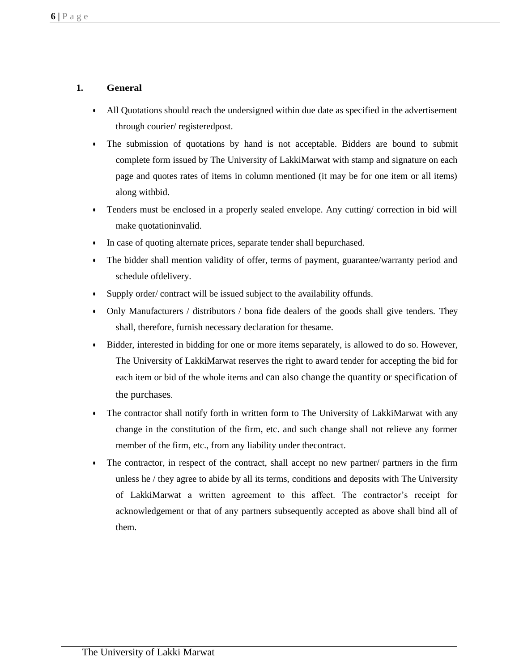## **1. General**

- All Quotations should reach the undersigned within due date as specified in the advertisement through courier/ registeredpost.
- The submission of quotations by hand is not acceptable. Bidders are bound to submit complete form issued by The University of LakkiMarwat with stamp and signature on each page and quotes rates of items in column mentioned (it may be for one item or all items) along withbid.
- Tenders must be enclosed in a properly sealed envelope. Any cutting/ correction in bid will make quotationinvalid.
- In case of quoting alternate prices, separate tender shall bepurchased.
- The bidder shall mention validity of offer, terms of payment, guarantee/warranty period and schedule ofdelivery.
- Supply order/ contract will be issued subject to the availability offunds.
- Only Manufacturers / distributors / bona fide dealers of the goods shall give tenders. They shall, therefore, furnish necessary declaration for thesame.
- Bidder, interested in bidding for one or more items separately, is allowed to do so. However, The University of LakkiMarwat reserves the right to award tender for accepting the bid for each item or bid of the whole items and can also change the quantity or specification of the purchases.
- The contractor shall notify forth in written form to The University of LakkiMarwat with any change in the constitution of the firm, etc. and such change shall not relieve any former member of the firm, etc., from any liability under thecontract.
- The contractor, in respect of the contract, shall accept no new partner/ partners in the firm unless he / they agree to abide by all its terms, conditions and deposits with The University of LakkiMarwat a written agreement to this affect. The contractor's receipt for acknowledgement or that of any partners subsequently accepted as above shall bind all of them.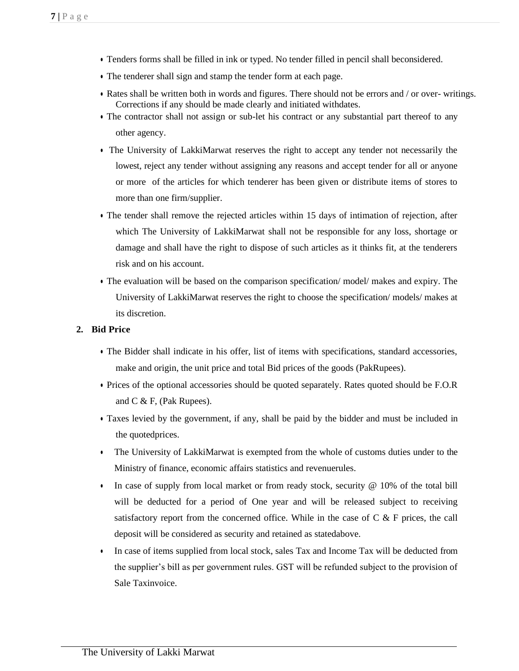- Tenders forms shall be filled in ink or typed. No tender filled in pencil shall beconsidered.
- The tenderer shall sign and stamp the tender form at each page.
- Rates shall be written both in words and figures. There should not be errors and / or over- writings. Corrections if any should be made clearly and initiated withdates.
- The contractor shall not assign or sub-let his contract or any substantial part thereof to any other agency.
- The University of LakkiMarwat reserves the right to accept any tender not necessarily the lowest, reject any tender without assigning any reasons and accept tender for all or anyone or more of the articles for which tenderer has been given or distribute items of stores to more than one firm/supplier.
- The tender shall remove the rejected articles within 15 days of intimation of rejection, after which The University of LakkiMarwat shall not be responsible for any loss, shortage or damage and shall have the right to dispose of such articles as it thinks fit, at the tenderers risk and on his account.
- The evaluation will be based on the comparison specification/ model/ makes and expiry. The University of LakkiMarwat reserves the right to choose the specification/ models/ makes at its discretion.

#### **2. Bid Price**

- The Bidder shall indicate in his offer, list of items with specifications, standard accessories, make and origin, the unit price and total Bid prices of the goods (PakRupees).
- Prices of the optional accessories should be quoted separately. Rates quoted should be F.O.R and C & F, (Pak Rupees).
- Taxes levied by the government, if any, shall be paid by the bidder and must be included in the quotedprices.
- The University of LakkiMarwat is exempted from the whole of customs duties under to the Ministry of finance, economic affairs statistics and revenuerules.
- In case of supply from local market or from ready stock, security  $\omega$  10% of the total bill will be deducted for a period of One year and will be released subject to receiving satisfactory report from the concerned office. While in the case of  $C \& F$  prices, the call deposit will be considered as security and retained as statedabove.
- In case of items supplied from local stock, sales Tax and Income Tax will be deducted from the supplier's bill as per government rules. GST will be refunded subject to the provision of Sale Taxinvoice.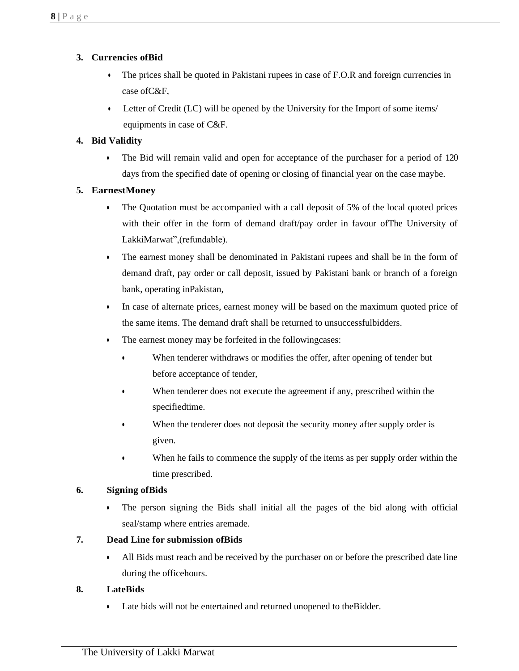# **3. Currencies ofBid**

- The prices shall be quoted in Pakistani rupees in case of F.O.R and foreign currencies in case ofC&F,
- Letter of Credit (LC) will be opened by the University for the Import of some items/ equipments in case of C&F.

## **4. Bid Validity**

• The Bid will remain valid and open for acceptance of the purchaser for a period of 120 days from the specified date of opening or closing of financial year on the case maybe.

### **5. EarnestMoney**

- The Quotation must be accompanied with a call deposit of 5% of the local quoted prices with their offer in the form of demand draft/pay order in favour ofThe University of LakkiMarwat",(refundable).
- The earnest money shall be denominated in Pakistani rupees and shall be in the form of demand draft, pay order or call deposit, issued by Pakistani bank or branch of a foreign bank, operating inPakistan,
- In case of alternate prices, earnest money will be based on the maximum quoted price of the same items. The demand draft shall be returned to unsuccessfulbidders.
- The earnest money may be forfeited in the followingcases:
	- When tenderer withdraws or modifies the offer, after opening of tender but before acceptance of tender,
	- When tenderer does not execute the agreement if any, prescribed within the specifiedtime.
	- When the tenderer does not deposit the security money after supply order is given.
	- When he fails to commence the supply of the items as per supply order within the time prescribed.

### **6. Signing ofBids**

• The person signing the Bids shall initial all the pages of the bid along with official seal/stamp where entries aremade.

### **7. Dead Line for submission ofBids**

• All Bids must reach and be received by the purchaser on or before the prescribed date line during the officehours.

### **8. LateBids**

• Late bids will not be entertained and returned unopened to theBidder.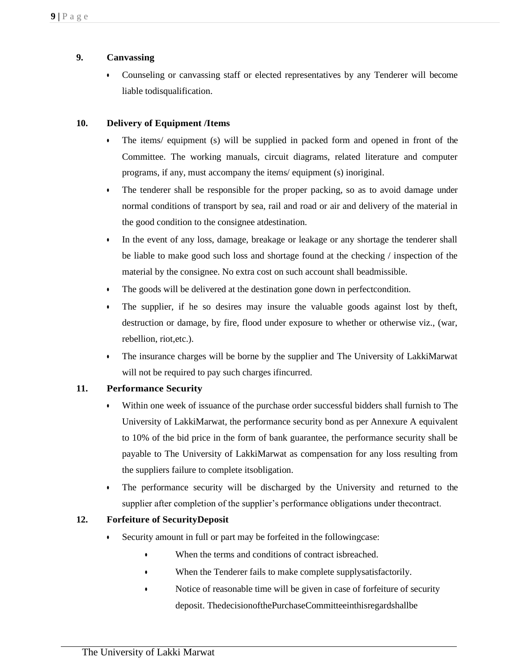### **9. Canvassing**

• Counseling or canvassing staff or elected representatives by any Tenderer will become liable todisqualification.

## **10. Delivery of Equipment /Items**

- The items/ equipment (s) will be supplied in packed form and opened in front of the Committee. The working manuals, circuit diagrams, related literature and computer programs, if any, must accompany the items/ equipment (s) inoriginal.
- The tenderer shall be responsible for the proper packing, so as to avoid damage under normal conditions of transport by sea, rail and road or air and delivery of the material in the good condition to the consignee atdestination.
- In the event of any loss, damage, breakage or leakage or any shortage the tenderer shall be liable to make good such loss and shortage found at the checking / inspection of the material by the consignee. No extra cost on such account shall beadmissible.
- The goods will be delivered at the destination gone down in perfectcondition.
- The supplier, if he so desires may insure the valuable goods against lost by theft, destruction or damage, by fire, flood under exposure to whether or otherwise viz., (war, rebellion, riot,etc.).
- The insurance charges will be borne by the supplier and The University of LakkiMarwat will not be required to pay such charges ifincurred.

### **11. Performance Security**

- Within one week of issuance of the purchase order successful bidders shall furnish to The University of LakkiMarwat, the performance security bond as per Annexure A equivalent to 10% of the bid price in the form of bank guarantee, the performance security shall be payable to The University of LakkiMarwat as compensation for any loss resulting from the suppliers failure to complete itsobligation.
- The performance security will be discharged by the University and returned to the supplier after completion of the supplier's performance obligations under thecontract.

### **12. Forfeiture of SecurityDeposit**

- Security amount in full or part may be forfeited in the followingcase:
	- When the terms and conditions of contract isbreached.
	- When the Tenderer fails to make complete supplysatisfactorily.
	- Notice of reasonable time will be given in case of forfeiture of security deposit. ThedecisionofthePurchaseCommitteeinthisregardshallbe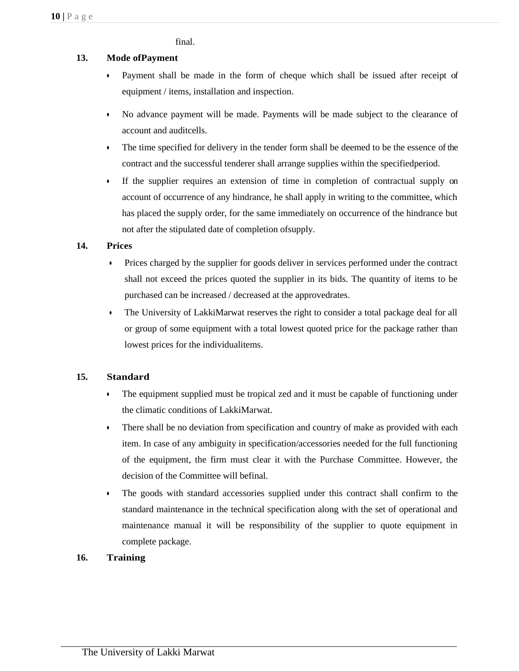final.

## **13. Mode ofPayment**

- Payment shall be made in the form of cheque which shall be issued after receipt of equipment / items, installation and inspection.
- No advance payment will be made. Payments will be made subject to the clearance of account and auditcells.
- The time specified for delivery in the tender form shall be deemed to be the essence of the contract and the successful tenderer shall arrange supplies within the specifiedperiod.
- If the supplier requires an extension of time in completion of contractual supply on account of occurrence of any hindrance, he shall apply in writing to the committee, which has placed the supply order, for the same immediately on occurrence of the hindrance but not after the stipulated date of completion ofsupply.

#### **14. Prices**

- Prices charged by the supplier for goods deliver in services performed under the contract shall not exceed the prices quoted the supplier in its bids. The quantity of items to be purchased can be increased / decreased at the approvedrates.
- The University of LakkiMarwat reserves the right to consider a total package deal for all or group of some equipment with a total lowest quoted price for the package rather than lowest prices for the individualitems.

### **15. Standard**

- The equipment supplied must be tropical zed and it must be capable of functioning under the climatic conditions of LakkiMarwat.
- There shall be no deviation from specification and country of make as provided with each item. In case of any ambiguity in specification/accessories needed for the full functioning of the equipment, the firm must clear it with the Purchase Committee. However, the decision of the Committee will befinal.
- The goods with standard accessories supplied under this contract shall confirm to the standard maintenance in the technical specification along with the set of operational and maintenance manual it will be responsibility of the supplier to quote equipment in complete package.

### **16. Training**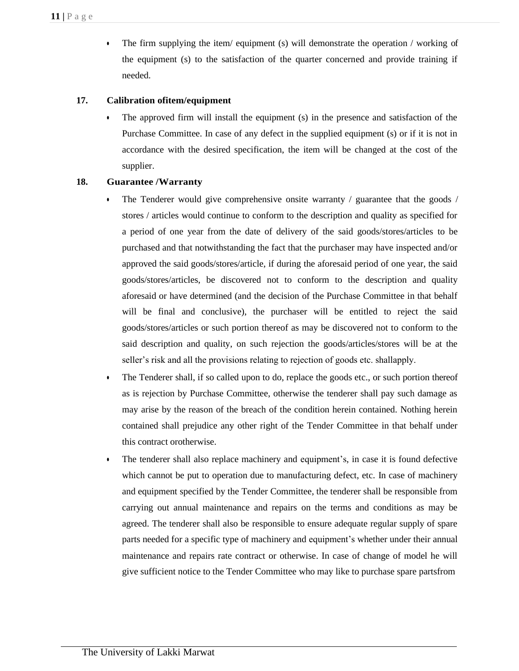• The firm supplying the item/ equipment (s) will demonstrate the operation / working of the equipment (s) to the satisfaction of the quarter concerned and provide training if needed.

### **17. Calibration ofitem/equipment**

• The approved firm will install the equipment (s) in the presence and satisfaction of the Purchase Committee. In case of any defect in the supplied equipment (s) or if it is not in accordance with the desired specification, the item will be changed at the cost of the supplier.

### **18. Guarantee /Warranty**

- The Tenderer would give comprehensive onsite warranty / guarantee that the goods / stores / articles would continue to conform to the description and quality as specified for a period of one year from the date of delivery of the said goods/stores/articles to be purchased and that notwithstanding the fact that the purchaser may have inspected and/or approved the said goods/stores/article, if during the aforesaid period of one year, the said goods/stores/articles, be discovered not to conform to the description and quality aforesaid or have determined (and the decision of the Purchase Committee in that behalf will be final and conclusive), the purchaser will be entitled to reject the said goods/stores/articles or such portion thereof as may be discovered not to conform to the said description and quality, on such rejection the goods/articles/stores will be at the seller's risk and all the provisions relating to rejection of goods etc. shallapply.
- The Tenderer shall, if so called upon to do, replace the goods etc., or such portion thereof as is rejection by Purchase Committee, otherwise the tenderer shall pay such damage as may arise by the reason of the breach of the condition herein contained. Nothing herein contained shall prejudice any other right of the Tender Committee in that behalf under this contract orotherwise.
- The tenderer shall also replace machinery and equipment's, in case it is found defective which cannot be put to operation due to manufacturing defect, etc. In case of machinery and equipment specified by the Tender Committee, the tenderer shall be responsible from carrying out annual maintenance and repairs on the terms and conditions as may be agreed. The tenderer shall also be responsible to ensure adequate regular supply of spare parts needed for a specific type of machinery and equipment's whether under their annual maintenance and repairs rate contract or otherwise. In case of change of model he will give sufficient notice to the Tender Committee who may like to purchase spare partsfrom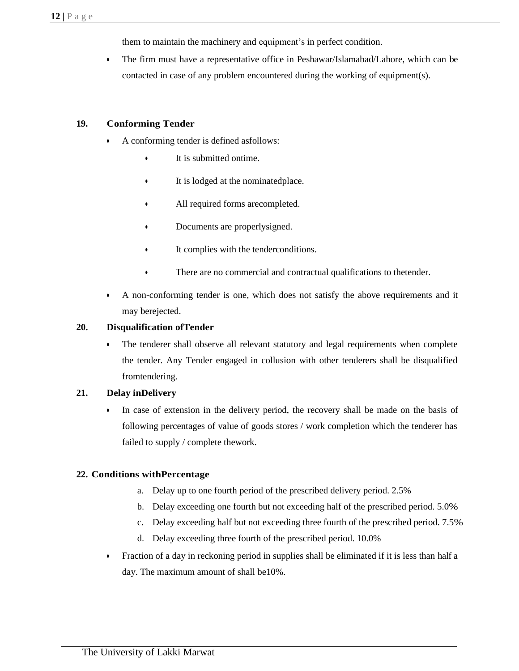them to maintain the machinery and equipment's in perfect condition.

• The firm must have a representative office in Peshawar/Islamabad/Lahore, which can be contacted in case of any problem encountered during the working of equipment(s).

#### **19. Conforming Tender**

- A conforming tender is defined asfollows:
	- It is submitted ontime.
	- It is lodged at the nominatedplace.
	- All required forms arecompleted.
	- Documents are properlysigned.
	- It complies with the tenderconditions.
	- There are no commercial and contractual qualifications to thetender.
- A non-conforming tender is one, which does not satisfy the above requirements and it may berejected.

#### **20. Disqualification ofTender**

• The tenderer shall observe all relevant statutory and legal requirements when complete the tender. Any Tender engaged in collusion with other tenderers shall be disqualified fromtendering.

#### **21. Delay inDelivery**

• In case of extension in the delivery period, the recovery shall be made on the basis of following percentages of value of goods stores / work completion which the tenderer has failed to supply / complete thework.

#### **22. Conditions withPercentage**

- a. Delay up to one fourth period of the prescribed delivery period. 2.5%
- b. Delay exceeding one fourth but not exceeding half of the prescribed period. 5.0%
- c. Delay exceeding half but not exceeding three fourth of the prescribed period. 7.5%
- d. Delay exceeding three fourth of the prescribed period. 10.0%
- Fraction of a day in reckoning period in supplies shall be eliminated if it is less than half a day. The maximum amount of shall be10%.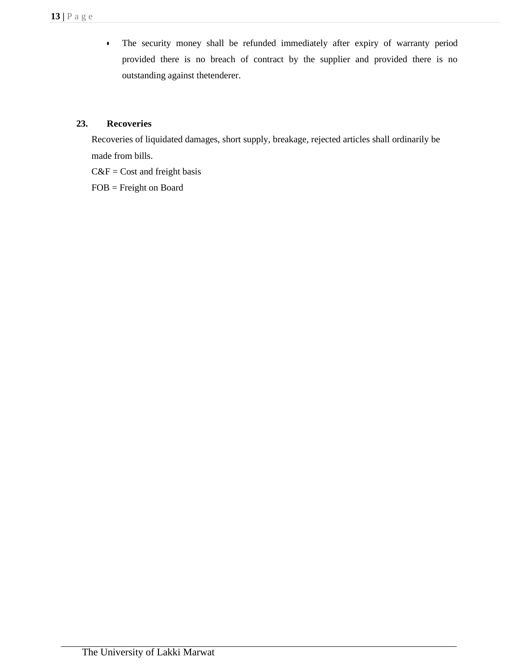• The security money shall be refunded immediately after expiry of warranty period provided there is no breach of contract by the supplier and provided there is no outstanding against thetenderer.

# **23. Recoveries**

Recoveries of liquidated damages, short supply, breakage, rejected articles shall ordinarily be made from bills.

 $C&F = Cost$  and freight basis

FOB = Freight on Board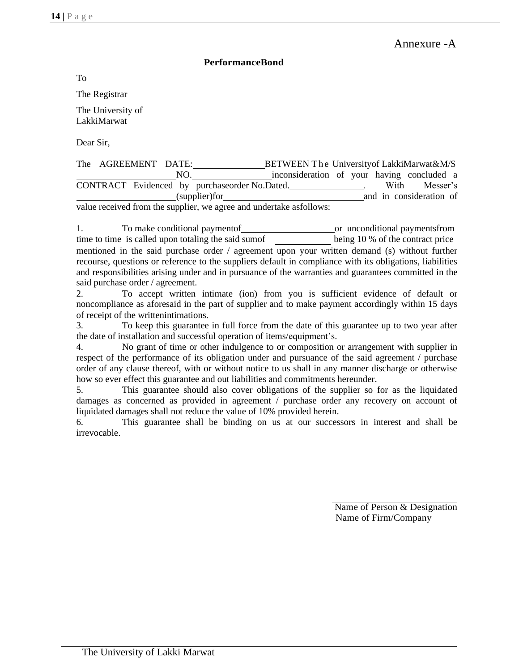#### **PerformanceBond**

To

The Registrar

The University of LakkiMarwat

Dear Sir,

| The AGREEMENT DATE:                                                 |  |     | BETWEEN The University of LakkiMarwat&M/S     |  |      |                         |  |
|---------------------------------------------------------------------|--|-----|-----------------------------------------------|--|------|-------------------------|--|
|                                                                     |  | NO. | inconsideration of your having concluded a    |  |      |                         |  |
|                                                                     |  |     | CONTRACT Evidenced by purchaseorder No.Dated. |  | With | Messer's                |  |
|                                                                     |  |     | $(supplier)$ for                              |  |      | and in consideration of |  |
| value received from the supplier, we agree and undertake asfollows: |  |     |                                               |  |      |                         |  |

1. To make conditional payment of <u>or</u> unconditional payments from time to time is called upon totaling the said sumof being 10 % of the contract price mentioned in the said purchase order / agreement upon your written demand (s) without further recourse, questions or reference to the suppliers default in compliance with its obligations, liabilities and responsibilities arising under and in pursuance of the warranties and guarantees committed in the said purchase order / agreement.

2. To accept written intimate (ion) from you is sufficient evidence of default or noncompliance as aforesaid in the part of supplier and to make payment accordingly within 15 days of receipt of the writtenintimations.

3. To keep this guarantee in full force from the date of this guarantee up to two year after the date of installation and successful operation of items/equipment's.

4. No grant of time or other indulgence to or composition or arrangement with supplier in respect of the performance of its obligation under and pursuance of the said agreement / purchase order of any clause thereof, with or without notice to us shall in any manner discharge or otherwise how so ever effect this guarantee and out liabilities and commitments hereunder.

5. This guarantee should also cover obligations of the supplier so for as the liquidated damages as concerned as provided in agreement / purchase order any recovery on account of liquidated damages shall not reduce the value of 10% provided herein.

6. This guarantee shall be binding on us at our successors in interest and shall be irrevocable.

> Name of Person & Designation Name of Firm/Company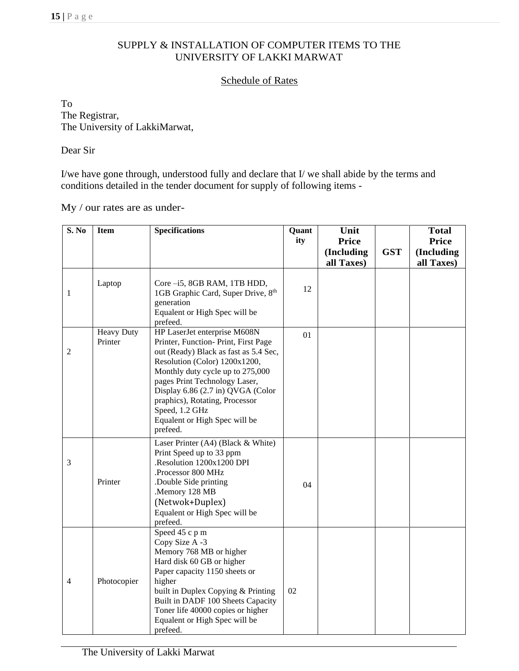#### SUPPLY & INSTALLATION OF COMPUTER ITEMS TO THE UNIVERSITY OF LAKKI MARWAT

### Schedule of Rates

To The Registrar, The University of LakkiMarwat,

Dear Sir

I/we have gone through, understood fully and declare that I/ we shall abide by the terms and conditions detailed in the tender document for supply of following items -

My / our rates are as under-

| S. No          | <b>Item</b>                  | <b>Specifications</b>                                                                                                                                                                                                                                                                                                                                    | Quant<br>ity | Unit<br><b>Price</b>     |            | <b>Total</b><br><b>Price</b> |
|----------------|------------------------------|----------------------------------------------------------------------------------------------------------------------------------------------------------------------------------------------------------------------------------------------------------------------------------------------------------------------------------------------------------|--------------|--------------------------|------------|------------------------------|
|                |                              |                                                                                                                                                                                                                                                                                                                                                          |              | (Including<br>all Taxes) | <b>GST</b> | (Including<br>all Taxes)     |
| $\mathbf{1}$   | Laptop                       | Core-i5, 8GB RAM, 1TB HDD,<br>1GB Graphic Card, Super Drive, 8th<br>generation<br>Equalent or High Spec will be<br>prefeed.                                                                                                                                                                                                                              | 12           |                          |            |                              |
| $\overline{2}$ | <b>Heavy Duty</b><br>Printer | HP LaserJet enterprise M608N<br>Printer, Function-Print, First Page<br>out (Ready) Black as fast as 5.4 Sec,<br>Resolution (Color) 1200x1200,<br>Monthly duty cycle up to 275,000<br>pages Print Technology Laser,<br>Display 6.86 (2.7 in) QVGA (Color<br>praphics), Rotating, Processor<br>Speed, 1.2 GHz<br>Equalent or High Spec will be<br>prefeed. | 01           |                          |            |                              |
| 3              | Printer                      | Laser Printer (A4) (Black & White)<br>Print Speed up to 33 ppm<br>.Resolution 1200x1200 DPI<br>.Processor 800 MHz<br>.Double Side printing<br>.Memory 128 MB<br>(Netwok+Duplex)<br>Equalent or High Spec will be<br>prefeed.                                                                                                                             | 04           |                          |            |                              |
| 4              | Photocopier                  | Speed 45 c p m<br>Copy Size A -3<br>Memory 768 MB or higher<br>Hard disk 60 GB or higher<br>Paper capacity 1150 sheets or<br>higher<br>built in Duplex Copying & Printing<br>Built in DADF 100 Sheets Capacity<br>Toner life 40000 copies or higher<br>Equalent or High Spec will be<br>prefeed.                                                         | 02           |                          |            |                              |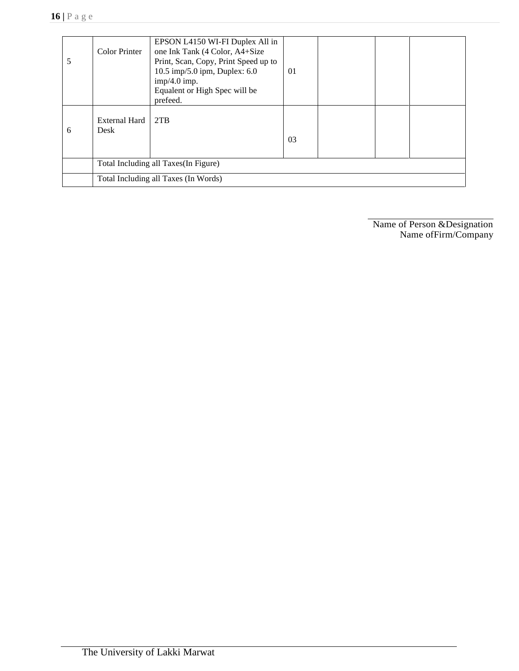| 5 | <b>Color Printer</b>                  | EPSON L4150 WI-FI Duplex All in<br>one Ink Tank (4 Color, A4+Size<br>Print, Scan, Copy, Print Speed up to<br>10.5 imp/5.0 ipm, Duplex: $6.0$<br>$imp/4.0$ imp.<br>Equalent or High Spec will be<br>prefeed. | 01 |  |  |  |
|---|---------------------------------------|-------------------------------------------------------------------------------------------------------------------------------------------------------------------------------------------------------------|----|--|--|--|
| 6 | External Hard<br>Desk                 | 2TB                                                                                                                                                                                                         | 03 |  |  |  |
|   | Total Including all Taxes (In Figure) |                                                                                                                                                                                                             |    |  |  |  |
|   | Total Including all Taxes (In Words)  |                                                                                                                                                                                                             |    |  |  |  |

Name of Person &Designation Name ofFirm/Company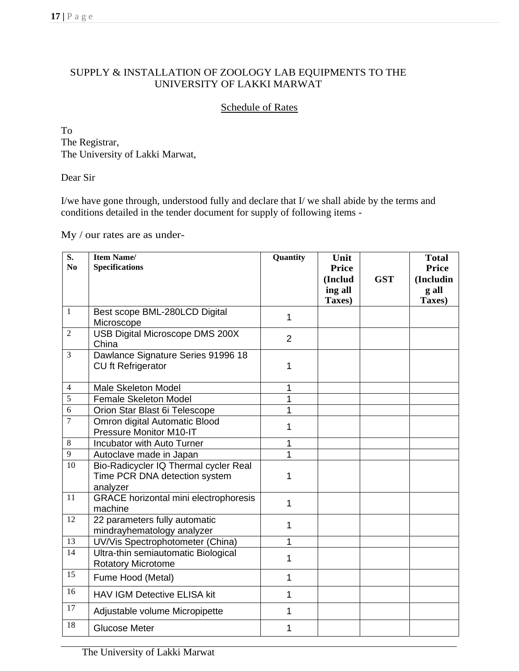# SUPPLY & INSTALLATION OF ZOOLOGY LAB EQUIPMENTS TO THE UNIVERSITY OF LAKKI MARWAT

## Schedule of Rates

To The Registrar, The University of Lakki Marwat,

Dear Sir

I/we have gone through, understood fully and declare that I/ we shall abide by the terms and conditions detailed in the tender document for supply of following items -

My / our rates are as under-

| S.<br>N <sub>0</sub> | <b>Item Name/</b><br><b>Specifications</b>                                         | Quantity       | Unit<br><b>Price</b><br>(Includ | <b>GST</b> | <b>Total</b><br><b>Price</b><br>(Includin |
|----------------------|------------------------------------------------------------------------------------|----------------|---------------------------------|------------|-------------------------------------------|
|                      |                                                                                    |                | ing all<br>Taxes)               |            | g all<br>Taxes)                           |
| $\mathbf{1}$         | Best scope BML-280LCD Digital<br>Microscope                                        | 1              |                                 |            |                                           |
| $\overline{2}$       | USB Digital Microscope DMS 200X<br>China                                           | $\overline{2}$ |                                 |            |                                           |
| 3                    | Dawlance Signature Series 91996 18<br>CU ft Refrigerator                           | 1              |                                 |            |                                           |
| $\overline{4}$       | Male Skeleton Model                                                                | 1              |                                 |            |                                           |
| $\overline{5}$       | <b>Female Skeleton Model</b>                                                       | 1              |                                 |            |                                           |
| 6                    | Orion Star Blast 6i Telescope                                                      | 1              |                                 |            |                                           |
| $\overline{7}$       | Omron digital Automatic Blood<br>Pressure Monitor M10-IT                           | 1              |                                 |            |                                           |
| $\,8\,$              | Incubator with Auto Turner                                                         | 1              |                                 |            |                                           |
| $\overline{9}$       | Autoclave made in Japan                                                            | 1              |                                 |            |                                           |
| 10                   | Bio-Radicycler IQ Thermal cycler Real<br>Time PCR DNA detection system<br>analyzer | 1              |                                 |            |                                           |
| 11                   | <b>GRACE</b> horizontal mini electrophoresis<br>machine                            | 1              |                                 |            |                                           |
| 12                   | 22 parameters fully automatic<br>mindrayhematology analyzer                        | 1              |                                 |            |                                           |
| 13                   | UV/Vis Spectrophotometer (China)                                                   | 1              |                                 |            |                                           |
| 14                   | Ultra-thin semiautomatic Biological<br><b>Rotatory Microtome</b>                   | 1              |                                 |            |                                           |
| 15                   | Fume Hood (Metal)                                                                  | 1              |                                 |            |                                           |
| 16                   | <b>HAV IGM Detective ELISA kit</b>                                                 | 1              |                                 |            |                                           |
| 17                   | Adjustable volume Micropipette                                                     | 1              |                                 |            |                                           |
| 18                   | <b>Glucose Meter</b>                                                               | 1              |                                 |            |                                           |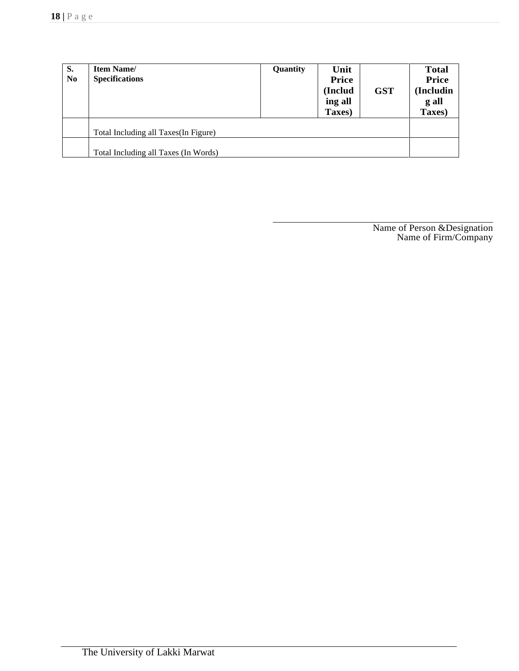| S.<br>N <sub>0</sub> | <b>Item Name/</b><br><b>Specifications</b> | Quantity | Unit<br><b>Price</b><br>(Includ<br>ing all<br>Taxes) | <b>GST</b> | <b>Total</b><br><b>Price</b><br>(Includin<br>g all<br>Taxes) |
|----------------------|--------------------------------------------|----------|------------------------------------------------------|------------|--------------------------------------------------------------|
|                      | Total Including all Taxes (In Figure)      |          |                                                      |            |                                                              |
|                      | Total Including all Taxes (In Words)       |          |                                                      |            |                                                              |

\_\_\_\_\_\_\_\_\_\_\_\_\_\_\_\_\_\_\_\_\_\_\_\_\_\_\_\_\_\_\_\_\_\_\_\_\_\_\_\_\_\_\_\_\_ Name of Person &Designation Name of Firm/Company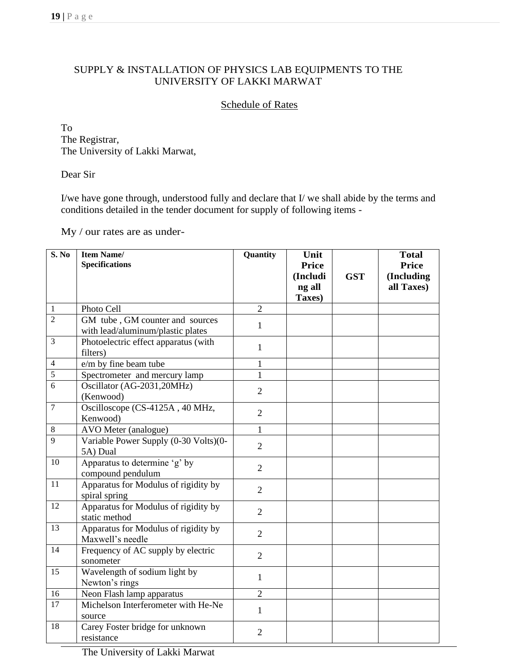### SUPPLY & INSTALLATION OF PHYSICS LAB EQUIPMENTS TO THE UNIVERSITY OF LAKKI MARWAT

# Schedule of Rates

To The Registrar, The University of Lakki Marwat,

Dear Sir

I/we have gone through, understood fully and declare that I/ we shall abide by the terms and conditions detailed in the tender document for supply of following items -

My / our rates are as under-

| S. No          | <b>Item Name/</b><br><b>Specifications</b>                           | Quantity       | Unit<br><b>Price</b> |            | <b>Total</b><br><b>Price</b> |
|----------------|----------------------------------------------------------------------|----------------|----------------------|------------|------------------------------|
|                |                                                                      |                | (Includi<br>ng all   | <b>GST</b> | (Including<br>all Taxes)     |
| $\mathbf{1}$   | Photo Cell                                                           | $\overline{2}$ | Taxes)               |            |                              |
| $\overline{2}$ | GM tube, GM counter and sources<br>with lead/aluminum/plastic plates | $\mathbf{1}$   |                      |            |                              |
| 3              | Photoelectric effect apparatus (with<br>filters)                     | $\mathbf{1}$   |                      |            |                              |
| 4              | e/m by fine beam tube                                                | 1              |                      |            |                              |
| 5              | Spectrometer and mercury lamp                                        | $\mathbf{1}$   |                      |            |                              |
| 6              | Oscillator (AG-2031,20MHz)<br>(Kenwood)                              | $\overline{2}$ |                      |            |                              |
| $\overline{7}$ | Oscilloscope (CS-4125A, 40 MHz,<br>Kenwood)                          | $\overline{2}$ |                      |            |                              |
| $\,8\,$        | AVO Meter (analogue)                                                 | $\mathbf{1}$   |                      |            |                              |
| 9              | Variable Power Supply (0-30 Volts)(0-<br>5A) Dual                    | $\overline{2}$ |                      |            |                              |
| 10             | Apparatus to determine 'g' by<br>compound pendulum                   | $\overline{2}$ |                      |            |                              |
| 11             | Apparatus for Modulus of rigidity by<br>spiral spring                | $\overline{2}$ |                      |            |                              |
| 12             | Apparatus for Modulus of rigidity by<br>static method                | $\overline{2}$ |                      |            |                              |
| 13             | Apparatus for Modulus of rigidity by<br>Maxwell's needle             | $\overline{2}$ |                      |            |                              |
| 14             | Frequency of AC supply by electric<br>sonometer                      | $\overline{2}$ |                      |            |                              |
| 15             | Wavelength of sodium light by<br>Newton's rings                      | $\mathbf{1}$   |                      |            |                              |
| 16             | Neon Flash lamp apparatus                                            | $\sqrt{2}$     |                      |            |                              |
| 17             | Michelson Interferometer with He-Ne<br>source                        | $\mathbf{1}$   |                      |            |                              |
| 18             | Carey Foster bridge for unknown<br>resistance                        | $\overline{2}$ |                      |            |                              |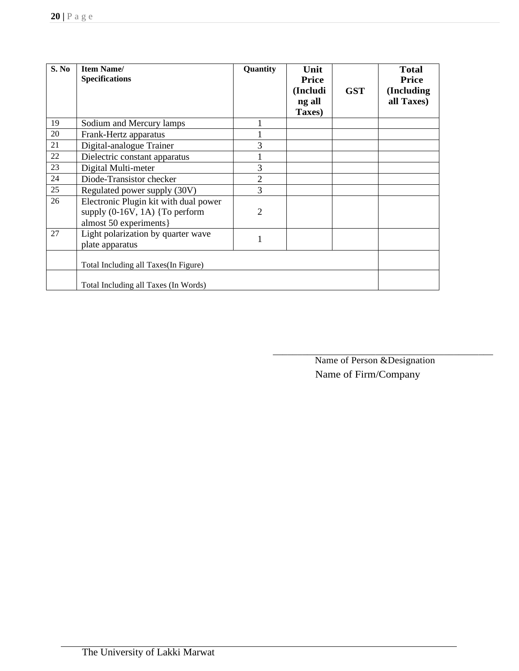| S. No | <b>Item Name/</b><br><b>Specifications</b>                                                           | Quantity       | Unit<br><b>Price</b><br>(Includi<br>ng all<br>Taxes) | <b>GST</b> | <b>Total</b><br><b>Price</b><br>(Including<br>all Taxes) |
|-------|------------------------------------------------------------------------------------------------------|----------------|------------------------------------------------------|------------|----------------------------------------------------------|
| 19    | Sodium and Mercury lamps                                                                             |                |                                                      |            |                                                          |
| 20    | Frank-Hertz apparatus                                                                                |                |                                                      |            |                                                          |
| 21    | Digital-analogue Trainer                                                                             | 3              |                                                      |            |                                                          |
| 22    | Dielectric constant apparatus                                                                        |                |                                                      |            |                                                          |
| 23    | Digital Multi-meter                                                                                  | 3              |                                                      |            |                                                          |
| 24    | Diode-Transistor checker                                                                             | $\overline{2}$ |                                                      |            |                                                          |
| 25    | Regulated power supply (30V)                                                                         | 3              |                                                      |            |                                                          |
| 26    | Electronic Plugin kit with dual power<br>supply $(0-16V, 1A)$ {To perform<br>almost 50 experiments } | 2              |                                                      |            |                                                          |
| 27    | Light polarization by quarter wave<br>plate apparatus                                                | 1              |                                                      |            |                                                          |
|       | Total Including all Taxes (In Figure)                                                                |                |                                                      |            |                                                          |
|       | Total Including all Taxes (In Words)                                                                 |                |                                                      |            |                                                          |

Name of Person &Designation Name of Firm/Company

\_\_\_\_\_\_\_\_\_\_\_\_\_\_\_\_\_\_\_\_\_\_\_\_\_\_\_\_\_\_\_\_\_\_\_\_\_\_\_\_\_\_\_\_\_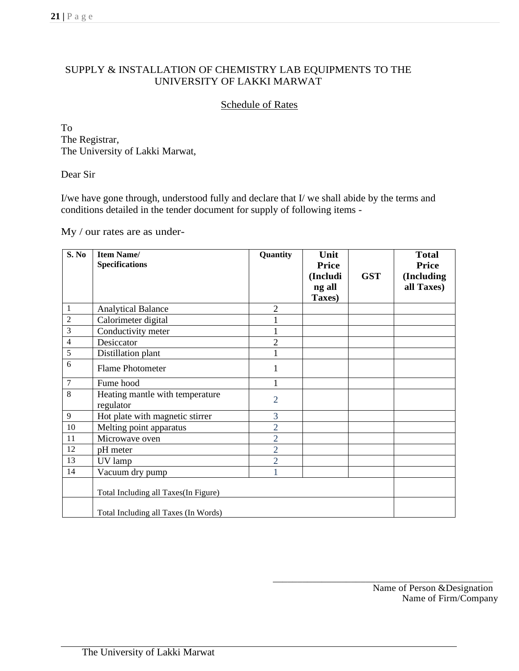#### SUPPLY & INSTALLATION OF CHEMISTRY LAB EQUIPMENTS TO THE UNIVERSITY OF LAKKI MARWAT

### Schedule of Rates

To The Registrar, The University of Lakki Marwat,

Dear Sir

I/we have gone through, understood fully and declare that I/ we shall abide by the terms and conditions detailed in the tender document for supply of following items -

My / our rates are as under-

| S. No          | <b>Item Name/</b><br><b>Specifications</b>   | Quantity       | Unit<br><b>Price</b> |            | <b>Total</b><br><b>Price</b> |
|----------------|----------------------------------------------|----------------|----------------------|------------|------------------------------|
|                |                                              |                | (Includi             | <b>GST</b> | (Including                   |
|                |                                              |                | ng all<br>Taxes)     |            | all Taxes)                   |
| 1              | <b>Analytical Balance</b>                    | $\overline{2}$ |                      |            |                              |
| $\overline{c}$ | Calorimeter digital                          |                |                      |            |                              |
| 3              | Conductivity meter                           | $\mathbf{1}$   |                      |            |                              |
| $\overline{4}$ | Desiccator                                   | $\sqrt{2}$     |                      |            |                              |
| 5              | Distillation plant                           | 1              |                      |            |                              |
| 6              | <b>Flame Photometer</b>                      | 1              |                      |            |                              |
| $\tau$         | Fume hood                                    | $\mathbf{1}$   |                      |            |                              |
| 8              | Heating mantle with temperature<br>regulator | $\overline{2}$ |                      |            |                              |
| $\overline{9}$ | Hot plate with magnetic stirrer              | 3              |                      |            |                              |
| $10\,$         | Melting point apparatus                      | $\overline{2}$ |                      |            |                              |
| 11             | Microwave oven                               | $\overline{2}$ |                      |            |                              |
| 12             | pH meter                                     | $\overline{2}$ |                      |            |                              |
| 13             | UV lamp                                      | $\overline{2}$ |                      |            |                              |
| 14             | Vacuum dry pump                              |                |                      |            |                              |
|                | Total Including all Taxes(In Figure)         |                |                      |            |                              |
|                | Total Including all Taxes (In Words)         |                |                      |            |                              |

\_\_\_\_\_\_\_\_\_\_\_\_\_\_\_\_\_\_\_\_\_\_\_\_\_\_\_\_\_\_\_\_\_\_\_\_\_\_\_\_\_\_\_\_\_ Name of Person &Designation Name of Firm/Company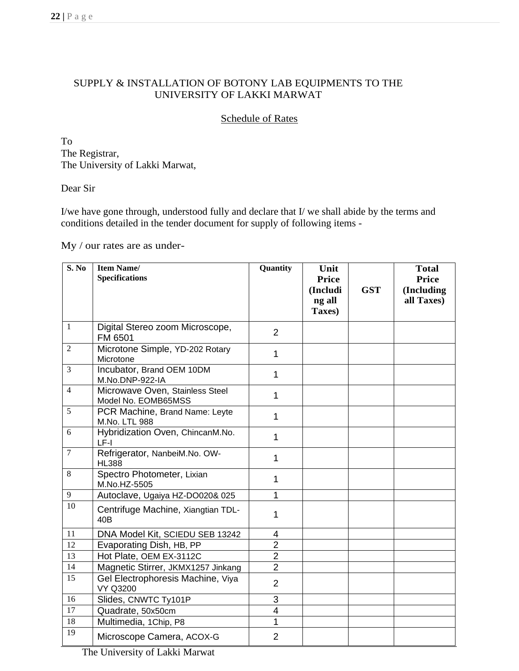# SUPPLY & INSTALLATION OF BOTONY LAB EQUIPMENTS TO THE UNIVERSITY OF LAKKI MARWAT

Schedule of Rates

To The Registrar, The University of Lakki Marwat,

#### Dear Sir

I/we have gone through, understood fully and declare that I/ we shall abide by the terms and conditions detailed in the tender document for supply of following items -

My / our rates are as under-

| S. No           | <b>Item Name/</b><br><b>Specifications</b>             | Quantity       | Unit<br><b>Price</b><br>(Includi<br>ng all<br>Taxes) | <b>GST</b> | <b>Total</b><br><b>Price</b><br>(Including<br>all Taxes) |
|-----------------|--------------------------------------------------------|----------------|------------------------------------------------------|------------|----------------------------------------------------------|
| $\mathbf{1}$    | Digital Stereo zoom Microscope,<br>FM 6501             | $\overline{2}$ |                                                      |            |                                                          |
| $\overline{2}$  | Microtone Simple, YD-202 Rotary<br>Microtone           | 1              |                                                      |            |                                                          |
| 3               | Incubator, Brand OEM 10DM<br>M.No.DNP-922-IA           | 1              |                                                      |            |                                                          |
| $\overline{4}$  | Microwave Oven, Stainless Steel<br>Model No. EOMB65MSS | 1              |                                                      |            |                                                          |
| 5               | PCR Machine, Brand Name: Leyte<br>M.No. LTL 988        | 1              |                                                      |            |                                                          |
| 6               | Hybridization Oven, ChincanM.No.<br>LF-I               | 1              |                                                      |            |                                                          |
| $\tau$          | Refrigerator, NanbeiM.No. OW-<br><b>HL388</b>          | 1              |                                                      |            |                                                          |
| 8               | Spectro Photometer, Lixian<br>M.No.HZ-5505             | 1              |                                                      |            |                                                          |
| 9               | Autoclave, Ugaiya HZ-DO020& 025                        | 1              |                                                      |            |                                                          |
| $\overline{10}$ | Centrifuge Machine, Xiangtian TDL-<br>40B              | 1              |                                                      |            |                                                          |
| 11              | DNA Model Kit, SCIEDU SEB 13242                        | 4              |                                                      |            |                                                          |
| 12              | Evaporating Dish, HB, PP                               | $\overline{2}$ |                                                      |            |                                                          |
| 13              | Hot Plate, OEM EX-3112C                                | $\overline{2}$ |                                                      |            |                                                          |
| 14              | Magnetic Stirrer, JKMX1257 Jinkang                     | $\overline{2}$ |                                                      |            |                                                          |
| 15              | Gel Electrophoresis Machine, Viya<br><b>VY Q3200</b>   | $\overline{2}$ |                                                      |            |                                                          |
| 16              | Slides, CNWTC Ty101P                                   | 3              |                                                      |            |                                                          |
| 17              | Quadrate, 50x50cm                                      | $\overline{4}$ |                                                      |            |                                                          |
| 18              | Multimedia, 1Chip, P8                                  | 1              |                                                      |            |                                                          |
| 19              | Microscope Camera, ACOX-G                              | $\overline{2}$ |                                                      |            |                                                          |

The University of Lakki Marwat